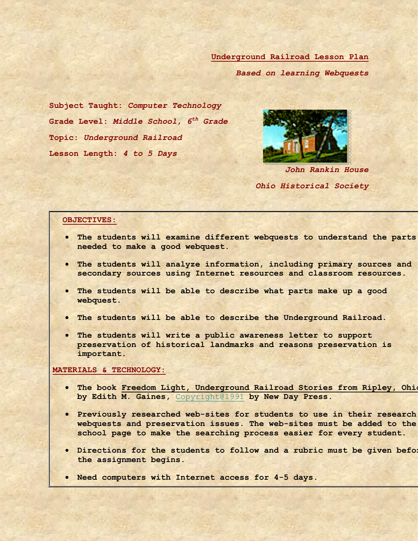**Underground Railroad Lesson Plan**

*Based on learning Webquests*

**Subject Taught:** *Computer Technology* **Grade Level:** *Middle School, 6th Grade* **Topic:** *Underground Railroad* **Lesson Length:** *4 to 5 Days*



*John Rankin House Ohio Historical Society*

#### **OBJECTIVES:**

- **The students will examine different webquests to understand the parts needed to make a good webquest.**
- **The students will analyze information, including primary sources and secondary sources using Internet resources and classroom resources.**
- **The students will be able to describe what parts make up a good webquest.**
- **The students will be able to describe the Underground Railroad.**
- **The students will write a public awareness letter to support preservation of historical landmarks and reasons preservation is important.**

#### **MATERIALS & TECHNOLOGY:**

- **The book Freedom Light, Underground Railroad Stories from Ripley, Ohio by Edith M. Gaines,** [Copyright@1991](mailto:Copyright@1991) **by New Day Press.**
- **•** Previously researched web-sites for students to use in their research **webquests and preservation issues. The web-sites must be added to the school page to make the searching process easier for every student.**
- **•** Directions for the students to follow and a rubric must be given befor **the assignment begins.**
- **Need computers with Internet access for 4-5 days.**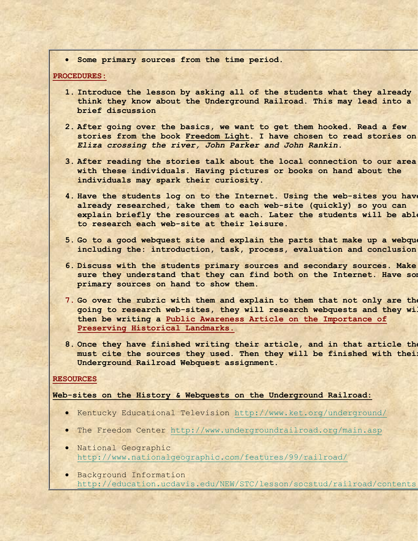**Some primary sources from the time period.**

#### **PROCEDURES:**

- **1. Introduce the lesson by asking all of the students what they already think they know about the Underground Railroad. This may lead into a brief discussion**
- **2. After going over the basics, we want to get them hooked. Read a few stories from the book Freedom Light. I have chosen to read stories on**  *Eliza crossing the river, John Parker and John Rankin***.**
- **3. After reading the stories talk about the local connection to our area with these individuals. Having pictures or books on hand about the individuals may spark their curiosity.**
- **4. Have the students log on to the Internet. Using the web-sites you have already researched, take them to each web-site (quickly) so you can explain briefly the resources at each. Later the students will be able to research each web-site at their leisure.**
- **5.** Go to a good webquest site and explain the parts that make up a webque **including the: introduction, task, process, evaluation and conclusion.**
- **6. Discuss with the students primary sources and secondary sources. Make sure they understand that they can find both on the Internet. Have some primary sources on hand to show them.**
- **7.** Go over the rubric with them and explain to them that not only are the **going to research web-sites, they will research webquests and they will then be writing a Public Awareness Article on the Importance of Preserving Historical Landmarks.**
- **8.** Once they have finished writing their article, and in that article the must cite the sources they used. Then they will be finished with their **Underground Railroad Webquest assignment.**

### **RESOURCES**

### **Web-sites on the History & Webquests on the Underground Railroad:**

- Kentucky Educational Television<http://www.ket.org/underground/>
- The Freedom Center<http://www.undergroundrailroad.org/main.asp>
- National Geographic <http://www.nationalgeographic.com/features/99/railroad/>
- Background Information http://education.ucdavis.edu/NEW/STC/lesson/socstud/railroad/contents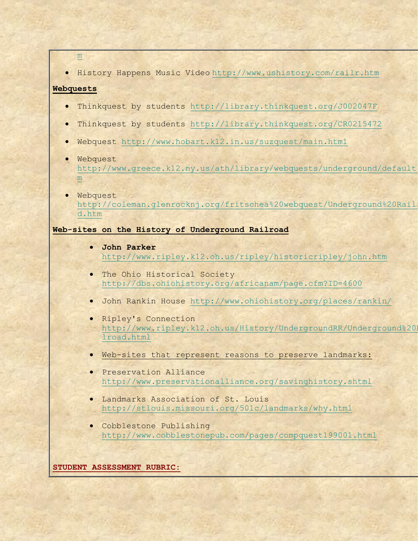[m](http://education.ucdavis.edu/NEW/STC/lesson/socstud/railroad/contents.htm)

History Happens Music Video <http://www.ushistory.com/railr.htm>

## **Webquests**

- Thinkquest by students<http://library.thinkquest.org/J002047F>
- Thinkquest by students<http://library.thinkquest.org/CR0215472>
- Webquest<http://www.hobart.k12.in.us/suzquest/main.html>
- Webquest http://www.greece.k12.ny.us/ath/library/webquests/underground/default [m](http://www.greece.k12.ny.us/ath/library/webquests/underground/default.htm)
- Webquest http://coleman.glenrocknj.org/fritschea%20webquest/Underground%20Rail [d.htm](http://coleman.glenrocknj.org/fritschea%20webquest/Underground%20Railroad.htm)

# **Web-sites on the History of Underground Railroad**

- **John Parker**  <http://www.ripley.k12.oh.us/ripley/historicripley/john.htm>
- The Ohio Historical Society <http://dbs.ohiohistory.org/africanam/page.cfm?ID=4600>
- John Rankin House<http://www.ohiohistory.org/places/rankin/>
- Ripley's Connection http://www.ripley.k12.oh.us/History/UndergroundRR/Underground%20 [lroad.html](http://www.ripley.k12.oh.us/History/UndergroundRR/Underground%20Railroad.html)
- Web-sites that represent reasons to preserve landmarks:
- **•** Preservation Alliance <http://www.preservationalliance.org/savinghistory.shtml>
- Landmarks Association of St. Louis <http://stlouis.missouri.org/501c/landmarks/why.html>
- Cobblestone Publishing <http://www.cobblestonepub.com/pages/compquest199001.html>

**STUDENT ASSESSMENT RUBRIC:**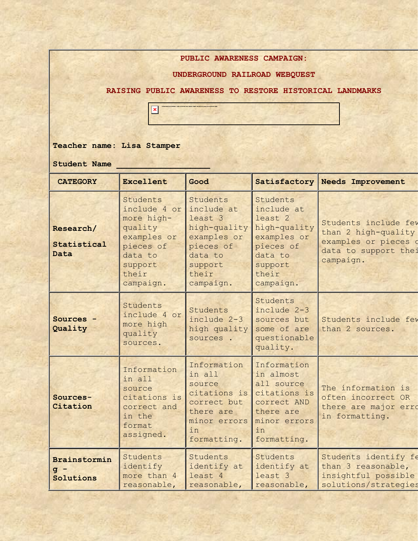**PUBLIC AWARENESS CAMPAIGN:** 

**UNDERGROUND RAILROAD WEBQUEST** 

**RAISING PUBLIC AWARENESS TO RESTORE HISTORICAL LANDMARKS**



**Teacher name: Lisa Stamper**

**Student Name \_\_\_\_\_\_\_\_\_\_\_\_\_\_\_\_\_\_\_**

| <b>CATEGORY</b>                    | <b>Excellent</b>                                                                                                          | Good                                                                                                                      |                                                                                                                           | Satisfactory Needs Improvement                                                                           |
|------------------------------------|---------------------------------------------------------------------------------------------------------------------------|---------------------------------------------------------------------------------------------------------------------------|---------------------------------------------------------------------------------------------------------------------------|----------------------------------------------------------------------------------------------------------|
|                                    |                                                                                                                           |                                                                                                                           |                                                                                                                           |                                                                                                          |
| Research/<br>Statistical<br>Data   | Students<br>include 4 or<br>more high-<br>quality<br>examples or<br>pieces of<br>data to<br>support<br>their<br>campaign. | Students<br>include at<br>least 3<br>high-quality<br>examples or<br>pieces of<br>data to<br>support<br>their<br>campaign. | Students<br>include at<br>least 2<br>high-quality<br>examples or<br>pieces of<br>data to<br>support<br>their<br>campaign. | Students include few<br>than 2 high-quality<br>examples or pieces o<br>data to support thei<br>campaign. |
| Sources -<br>Quality               | Students<br>include 4 or<br>more high<br>quality<br>sources.                                                              | Students<br>include 2-3<br>high quality<br>sources.                                                                       | Students<br>include 2-3<br>sources but<br>some of are<br>questionable<br>quality.                                         | Students include few<br>than 2 sources.                                                                  |
| Sources-<br>Citation               | Information<br>in all<br>source<br>citations is<br>correct and<br>in the<br>format<br>assigned.                           | Information<br>in all<br>source<br>citations is<br>correct but<br>there are<br>minor errors<br>in<br>formatting.          | Information<br>in almost<br>all source<br>citations is<br>correct AND<br>there are<br>minor errors<br>in<br>formatting.   | The information is<br>often incorrect OR<br>there are major erro<br>in formatting.                       |
| Brainstormin<br>$g -$<br>Solutions | Students<br>identify<br>more than 4<br>reasonable,                                                                        | Students<br>identify at<br>least 4<br>reasonable,                                                                         | Students<br>identify at<br>least 3<br>reasonable,                                                                         | Students identify fe<br>than 3 reasonable,<br>insightful possible<br>solutions/strategies                |